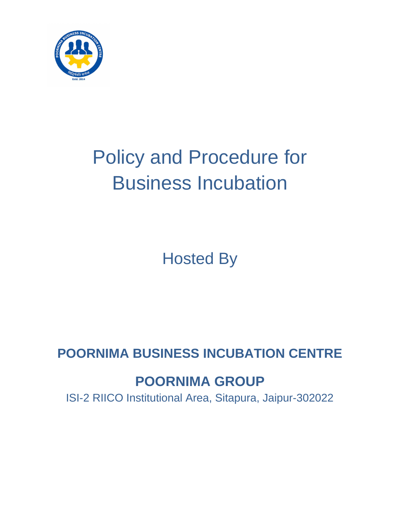

# Policy and Procedure for Business Incubation

Hosted By

**POORNIMA BUSINESS INCUBATION CENTRE**

# **POORNIMA GROUP**

ISI-2 RIICO Institutional Area, Sitapura, Jaipur-302022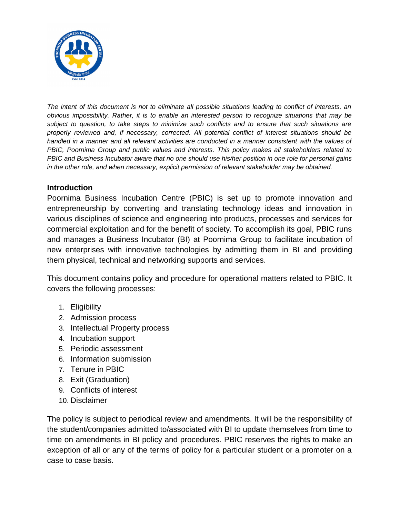

*The intent of this document is not to eliminate all possible situations leading to conflict of interests, an obvious impossibility. Rather, it is to enable an interested person to recognize situations that may be subject to question, to take steps to minimize such conflicts and to ensure that such situations are properly reviewed and, if necessary, corrected. All potential conflict of interest situations should be handled in a manner and all relevant activities are conducted in a manner consistent with the values of PBIC, Poornima Group and public values and interests. This policy makes all stakeholders related to PBIC and Business Incubator aware that no one should use his/her position in one role for personal gains in the other role, and when necessary, explicit permission of relevant stakeholder may be obtained.*

#### **Introduction**

Poornima Business Incubation Centre (PBIC) is set up to promote innovation and entrepreneurship by converting and translating technology ideas and innovation in various disciplines of science and engineering into products, processes and services for commercial exploitation and for the benefit of society. To accomplish its goal, PBIC runs and manages a Business Incubator (BI) at Poornima Group to facilitate incubation of new enterprises with innovative technologies by admitting them in BI and providing them physical, technical and networking supports and services.

This document contains policy and procedure for operational matters related to PBIC. It covers the following processes:

- 1. Eligibility
- 2. Admission process
- 3. Intellectual Property process
- 4. Incubation support
- 5. Periodic assessment
- 6. Information submission
- 7. Tenure in PBIC
- 8. Exit (Graduation)
- 9. Conflicts of interest
- 10. Disclaimer

The policy is subject to periodical review and amendments. It will be the responsibility of the student/companies admitted to/associated with BI to update themselves from time to time on amendments in BI policy and procedures. PBIC reserves the rights to make an exception of all or any of the terms of policy for a particular student or a promoter on a case to case basis.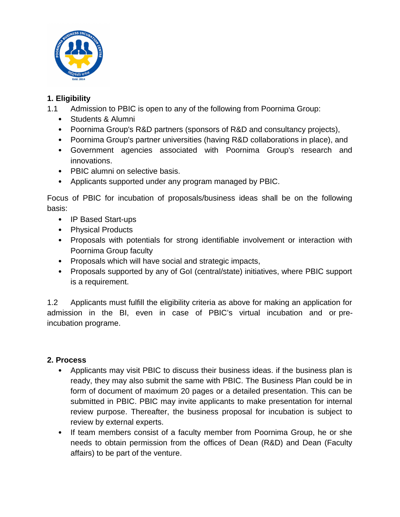

#### **1. Eligibility**

- 1.1 Admission to PBIC is open to any of the following from Poornima Group:
	- Students & Alumni
	- Poornima Group's R&D partners (sponsors of R&D and consultancy projects),
	- Poornima Group's partner universities (having R&D collaborations in place), and
	- Government agencies associated with Poornima Group's research and innovations.
	- PBIC alumni on selective basis.
	- Applicants supported under any program managed by PBIC.

Focus of PBIC for incubation of proposals/business ideas shall be on the following basis:

- IP Based Start-ups
- Physical Products
- Proposals with potentials for strong identifiable involvement or interaction with Poornima Group faculty
- Proposals which will have social and strategic impacts,
- Proposals supported by any of GoI (central/state) initiatives, where PBIC support is a requirement.

1.2 Applicants must fulfill the eligibility criteria as above for making an application for admission in the BI, even in case of PBIC's virtual incubation and or preincubation programe.

#### **2. Process**

- Applicants may visit PBIC to discuss their business ideas. if the business plan is ready, they may also submit the same with PBIC. The Business Plan could be in form of document of maximum 20 pages or a detailed presentation. This can be submitted in PBIC. PBIC may invite applicants to make presentation for internal review purpose. Thereafter, the business proposal for incubation is subject to review by external experts.
- If team members consist of a faculty member from Poornima Group, he or she needs to obtain permission from the offices of Dean (R&D) and Dean (Faculty affairs) to be part of the venture.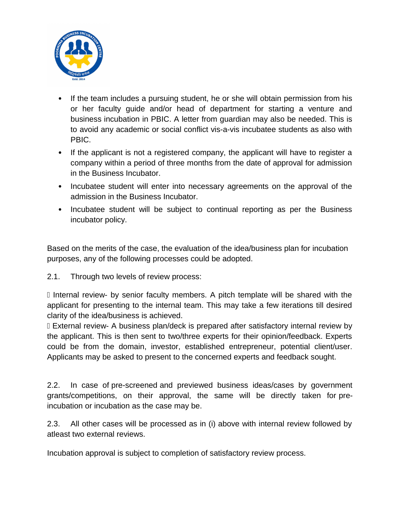

- If the team includes a pursuing student, he or she will obtain permission from his or her faculty guide and/or head of department for starting a venture and business incubation in PBIC. A letter from guardian may also be needed. This is to avoid any academic or social conflict vis-a-vis incubatee students as also with PBIC.
- If the applicant is not a registered company, the applicant will have to register a company within a period of three months from the date of approval for admission in the Business Incubator.
- Incubatee student will enter into necessary agreements on the approval of the admission in the Business Incubator.
- Incubatee student will be subject to continual reporting as per the Business incubator policy.

Based on the merits of the case, the evaluation of the idea/business plan for incubation purposes, any of the following processes could be adopted.

2.1. Through two levels of review process:

 Internal review- by senior faculty members. A pitch template will be shared with the applicant for presenting to the internal team. This may take a few iterations till desired clarity of the idea/business is achieved.

 External review- A business plan/deck is prepared after satisfactory internal review by the applicant. This is then sent to two/three experts for their opinion/feedback. Experts could be from the domain, investor, established entrepreneur, potential client/user. Applicants may be asked to present to the concerned experts and feedback sought.

2.2. In case of pre-screened and previewed business ideas/cases by government grants/competitions, on their approval, the same will be directly taken for preincubation or incubation as the case may be.

2.3. All other cases will be processed as in (i) above with internal review followed by atleast two external reviews.

Incubation approval is subject to completion of satisfactory review process.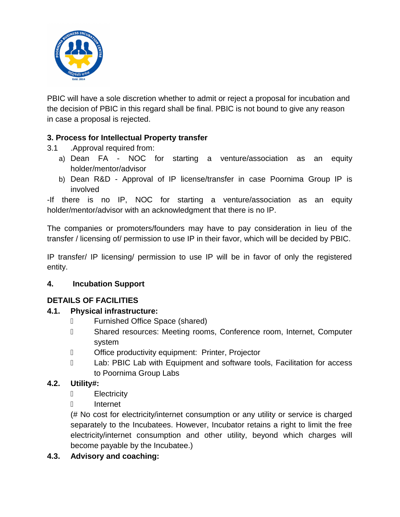

PBIC will have a sole discretion whether to admit or reject a proposal for incubation and the decision of PBIC in this regard shall be final. PBIC is not bound to give any reason in case a proposal is rejected.

# **3. Process for Intellectual Property transfer**

- 3.1 .Approval required from:
	- a) Dean FA NOC for starting a venture/association as an equity holder/mentor/advisor
	- b) Dean R&D Approval of IP license/transfer in case Poornima Group IP is involved

-If there is no IP, NOC for starting a venture/association as an equity holder/mentor/advisor with an acknowledgment that there is no IP.

The companies or promoters/founders may have to pay consideration in lieu of the transfer / licensing of/ permission to use IP in their favor, which will be decided by PBIC.

IP transfer/ IP licensing/ permission to use IP will be in favor of only the registered entity.

# **4. Incubation Support**

# **DETAILS OF FACILITIES**

# **4.1. Physical infrastructure:**

- Furnished Office Space (shared)
- Shared resources: Meeting rooms, Conference room, Internet, Computer system
- D **Office productivity equipment: Printer, Projector**
- D Lab: PBIC Lab with Equipment and software tools, Facilitation for access to Poornima Group Labs

# **4.2. Utility#:**

- D Electricity
- Internet

(# No cost for electricity/internet consumption or any utility or service is charged separately to the Incubatees. However, Incubator retains a right to limit the free electricity/internet consumption and other utility, beyond which charges will become payable by the Incubatee.)

# **4.3. Advisory and coaching:**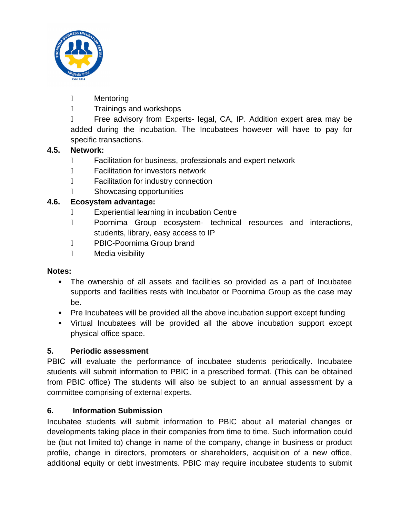

- Mentoring
- D Trainings and workshops

 Free advisory from Experts- legal, CA, IP. Addition expert area may be added during the incubation. The Incubatees however will have to pay for specific transactions.

# **4.5. Network:**

- Facilitation for business, professionals and expert network
- Facilitation for investors network
- Facilitation for industry connection
- Showcasing opportunities

#### **4.6. Ecosystem advantage:**

- Experiential learning in incubation Centre
- D Poornima Group ecosystem- technical resources and interactions, students, library, easy access to IP
- D PBIC-Poornima Group brand
- D Media visibility

#### **Notes:**

- The ownership of all assets and facilities so provided as a part of Incubatee supports and facilities rests with Incubator or Poornima Group as the case may be.
- Pre Incubatees will be provided all the above incubation support except funding
- Virtual Incubatees will be provided all the above incubation support except physical office space.

#### **5. Periodic assessment**

PBIC will evaluate the performance of incubatee students periodically. Incubatee students will submit information to PBIC in a prescribed format. (This can be obtained from PBIC office) The students will also be subject to an annual assessment by a committee comprising of external experts.

#### **6. Information Submission**

Incubatee students will submit information to PBIC about all material changes or developments taking place in their companies from time to time. Such information could be (but not limited to) change in name of the company, change in business or product profile, change in directors, promoters or shareholders, acquisition of a new office, additional equity or debt investments. PBIC may require incubatee students to submit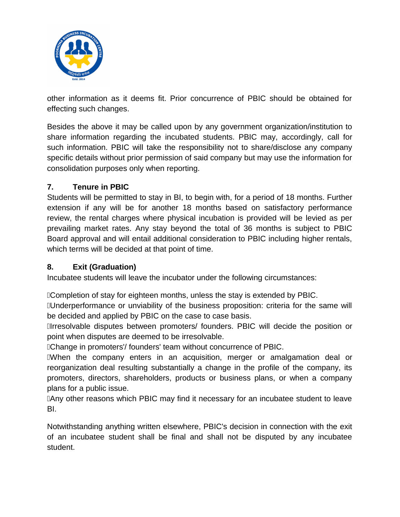

other information as it deems fit. Prior concurrence of PBIC should be obtained for effecting such changes.

Besides the above it may be called upon by any government organization/institution to share information regarding the incubated students. PBIC may, accordingly, call for such information. PBIC will take the responsibility not to share/disclose any company specific details without prior permission of said company but may use the information for consolidation purposes only when reporting.

#### **7. Tenure in PBIC**

Students will be permitted to stay in BI, to begin with, for a period of 18 months. Further extension if any will be for another 18 months based on satisfactory performance review, the rental charges where physical incubation is provided will be levied as per prevailing market rates. Any stay beyond the total of 36 months is subject to PBIC Board approval and will entail additional consideration to PBIC including higher rentals, which terms will be decided at that point of time.

# **8. Exit (Graduation)**

Incubatee students will leave the incubator under the following circumstances:

Completion of stay for eighteen months, unless the stay is extended by PBIC.

Underperformance or unviability of the business proposition: criteria for the same will be decided and applied by PBIC on the case to case basis.

Irresolvable disputes between promoters/ founders. PBIC will decide the position or point when disputes are deemed to be irresolvable.

Change in promoters'/ founders' team without concurrence of PBIC.

When the company enters in an acquisition, merger or amalgamation deal or reorganization deal resulting substantially a change in the profile of the company, its promoters, directors, shareholders, products or business plans, or when a company plans for a public issue.

Any other reasons which PBIC may find it necessary for an incubatee student to leave BI.

Notwithstanding anything written elsewhere, PBIC's decision in connection with the exit of an incubatee student shall be final and shall not be disputed by any incubatee student.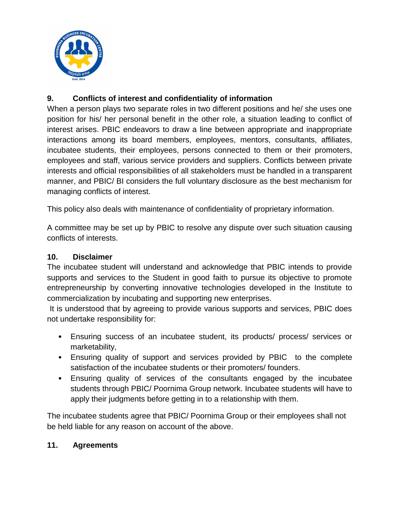

# **9. Conflicts of interest and confidentiality of information**

When a person plays two separate roles in two different positions and he/ she uses one position for his/ her personal benefit in the other role, a situation leading to conflict of interest arises. PBIC endeavors to draw a line between appropriate and inappropriate interactions among its board members, employees, mentors, consultants, affiliates, incubatee students, their employees, persons connected to them or their promoters, employees and staff, various service providers and suppliers. Conflicts between private interests and official responsibilities of all stakeholders must be handled in a transparent manner, and PBIC/ BI considers the full voluntary disclosure as the best mechanism for managing conflicts of interest.

This policy also deals with maintenance of confidentiality of proprietary information.

A committee may be set up by PBIC to resolve any dispute over such situation causing conflicts of interests.

#### **10. Disclaimer**

The incubatee student will understand and acknowledge that PBIC intends to provide supports and services to the Student in good faith to pursue its objective to promote entrepreneurship by converting innovative technologies developed in the Institute to commercialization by incubating and supporting new enterprises.

 It is understood that by agreeing to provide various supports and services, PBIC does not undertake responsibility for:

- Ensuring success of an incubatee student, its products/ process/ services or marketability,
- Ensuring quality of support and services provided by PBIC to the complete satisfaction of the incubatee students or their promoters/ founders.
- Ensuring quality of services of the consultants engaged by the incubatee students through PBIC/ Poornima Group network. Incubatee students will have to apply their judgments before getting in to a relationship with them.

The incubatee students agree that PBIC/ Poornima Group or their employees shall not be held liable for any reason on account of the above.

#### **11. Agreements**